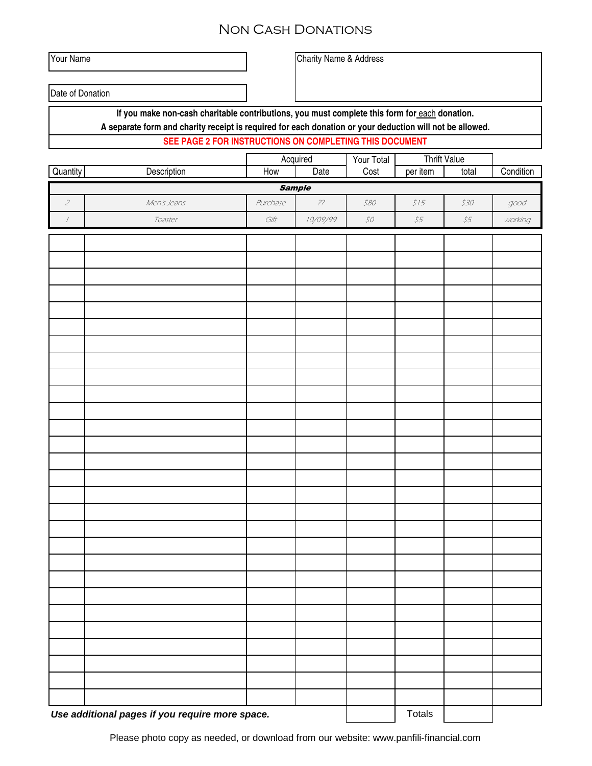## Non Cash Donations

Your Name Charity Name & Address

Date of Donation

**If you make non-cash charitable contributions, you must complete this form for** each **donation.** 

**A separate form and charity receipt is required for each donation or your deduction will not be allowed.**

## **SEE PAGE 2 FOR INSTRUCTIONS ON COMPLETING THIS DOCUMENT**

|                                                 |             | Acquired |          | Your Total                                   | <b>Thrift Value</b>      |                          |                   |  |  |
|-------------------------------------------------|-------------|----------|----------|----------------------------------------------|--------------------------|--------------------------|-------------------|--|--|
| Quantity                                        | Description | How      | Date     | Cost                                         | per item                 | total                    | Condition         |  |  |
| <b>Sample</b>                                   |             |          |          |                                              |                          |                          |                   |  |  |
| $\overline{z}$                                  | Men's Jeans | Purchase | 77       | 580                                          | $$15$                    | \$30                     | $\mathcal{G}$ ood |  |  |
| $\boldsymbol{I}$                                | Toaster     | Gift     | 10/09/99 | $\mathcal{SO}% _{CS}^{\ast}(\mathbb{R}^{2})$ | $\mathcal{S}\mathcal{S}$ | $\mathcal{S}\mathcal{S}$ | working           |  |  |
|                                                 |             |          |          |                                              |                          |                          |                   |  |  |
|                                                 |             |          |          |                                              |                          |                          |                   |  |  |
|                                                 |             |          |          |                                              |                          |                          |                   |  |  |
|                                                 |             |          |          |                                              |                          |                          |                   |  |  |
|                                                 |             |          |          |                                              |                          |                          |                   |  |  |
|                                                 |             |          |          |                                              |                          |                          |                   |  |  |
|                                                 |             |          |          |                                              |                          |                          |                   |  |  |
|                                                 |             |          |          |                                              |                          |                          |                   |  |  |
|                                                 |             |          |          |                                              |                          |                          |                   |  |  |
|                                                 |             |          |          |                                              |                          |                          |                   |  |  |
|                                                 |             |          |          |                                              |                          |                          |                   |  |  |
|                                                 |             |          |          |                                              |                          |                          |                   |  |  |
|                                                 |             |          |          |                                              |                          |                          |                   |  |  |
|                                                 |             |          |          |                                              |                          |                          |                   |  |  |
|                                                 |             |          |          |                                              |                          |                          |                   |  |  |
|                                                 |             |          |          |                                              |                          |                          |                   |  |  |
|                                                 |             |          |          |                                              |                          |                          |                   |  |  |
|                                                 |             |          |          |                                              |                          |                          |                   |  |  |
|                                                 |             |          |          |                                              |                          |                          |                   |  |  |
|                                                 |             |          |          |                                              |                          |                          |                   |  |  |
|                                                 |             |          |          |                                              |                          |                          |                   |  |  |
|                                                 |             |          |          |                                              |                          |                          |                   |  |  |
|                                                 |             |          |          |                                              |                          |                          |                   |  |  |
|                                                 |             |          |          |                                              |                          |                          |                   |  |  |
|                                                 |             |          |          |                                              |                          |                          |                   |  |  |
|                                                 |             |          |          |                                              |                          |                          |                   |  |  |
|                                                 |             |          |          |                                              |                          |                          |                   |  |  |
|                                                 |             |          |          |                                              |                          |                          |                   |  |  |
|                                                 |             |          |          |                                              |                          |                          |                   |  |  |
|                                                 |             |          |          |                                              |                          |                          |                   |  |  |
| Use additional pages if you require more space. |             |          |          | Totals                                       |                          |                          |                   |  |  |
|                                                 |             |          |          |                                              |                          |                          |                   |  |  |

Please photo copy as needed, or download from our website: www.panfili-financial.com